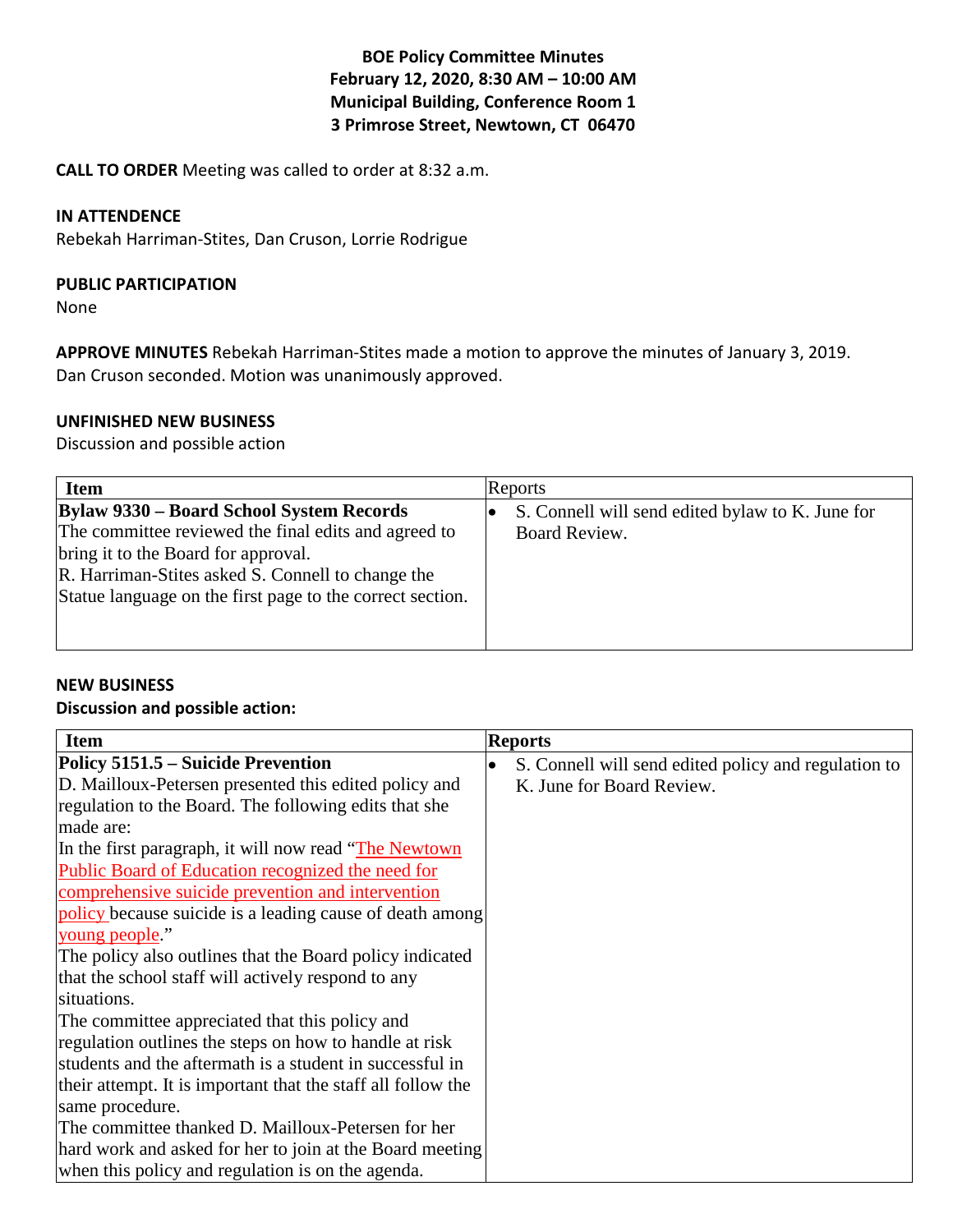## **BOE Policy Committee Minutes February 12, 2020, 8:30 AM – 10:00 AM Municipal Building, Conference Room 1 3 Primrose Street, Newtown, CT 06470**

**CALL TO ORDER** Meeting was called to order at 8:32 a.m.

### **IN ATTENDENCE**

Rebekah Harriman-Stites, Dan Cruson, Lorrie Rodrigue

### **PUBLIC PARTICIPATION**

None

**APPROVE MINUTES** Rebekah Harriman-Stites made a motion to approve the minutes of January 3, 2019. Dan Cruson seconded. Motion was unanimously approved.

### **UNFINISHED NEW BUSINESS**

Discussion and possible action

| <b>Item</b>                                                                                                                                                                                                                                                      | Reports                                                           |
|------------------------------------------------------------------------------------------------------------------------------------------------------------------------------------------------------------------------------------------------------------------|-------------------------------------------------------------------|
| <b>Bylaw 9330 – Board School System Records</b><br>The committee reviewed the final edits and agreed to<br>bring it to the Board for approval.<br>R. Harriman-Stites asked S. Connell to change the<br>Statue language on the first page to the correct section. | S. Connell will send edited bylaw to K. June for<br>Board Review. |

### **NEW BUSINESS**

#### **Discussion and possible action:**

| <b>Item</b>                                                  | <b>Reports</b>                                       |  |  |
|--------------------------------------------------------------|------------------------------------------------------|--|--|
| Policy 5151.5 – Suicide Prevention                           | S. Connell will send edited policy and regulation to |  |  |
| D. Mailloux-Petersen presented this edited policy and        | K. June for Board Review.                            |  |  |
| regulation to the Board. The following edits that she        |                                                      |  |  |
| lmade are:                                                   |                                                      |  |  |
| In the first paragraph, it will now read "The Newtown"       |                                                      |  |  |
| Public Board of Education recognized the need for            |                                                      |  |  |
| comprehensive suicide prevention and intervention            |                                                      |  |  |
| policy because suicide is a leading cause of death among     |                                                      |  |  |
| young people."                                               |                                                      |  |  |
| The policy also outlines that the Board policy indicated     |                                                      |  |  |
| that the school staff will actively respond to any           |                                                      |  |  |
| situations.                                                  |                                                      |  |  |
| The committee appreciated that this policy and               |                                                      |  |  |
| regulation outlines the steps on how to handle at risk       |                                                      |  |  |
| students and the aftermath is a student in successful in     |                                                      |  |  |
| their attempt. It is important that the staff all follow the |                                                      |  |  |
| same procedure.                                              |                                                      |  |  |
| The committee thanked D. Mailloux-Petersen for her           |                                                      |  |  |
| hard work and asked for her to join at the Board meeting     |                                                      |  |  |
| when this policy and regulation is on the agenda.            |                                                      |  |  |